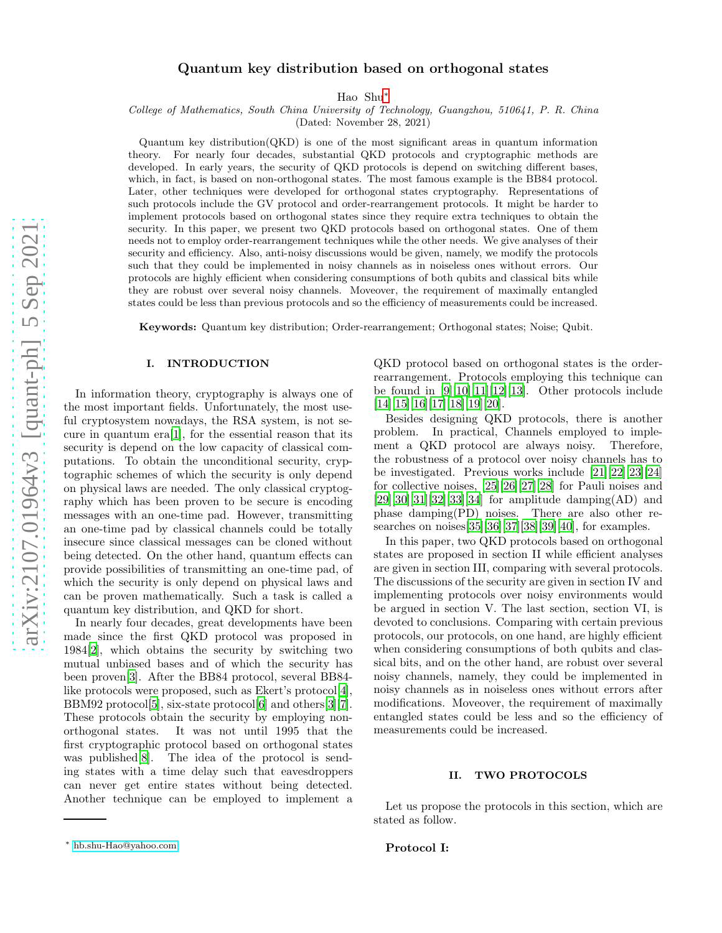# Quantum key distribution based on orthogonal states

Hao Shu[∗](#page-0-0)

College of Mathematics, South China University of Technology, Guangzhou, 510641, P. R. China

(Dated: November 28, 2021)

Quantum key distribution(QKD) is one of the most significant areas in quantum information theory. For nearly four decades, substantial QKD protocols and cryptographic methods are developed. In early years, the security of QKD protocols is depend on switching different bases, which, in fact, is based on non-orthogonal states. The most famous example is the BB84 protocol. Later, other techniques were developed for orthogonal states cryptography. Representations of such protocols include the GV protocol and order-rearrangement protocols. It might be harder to implement protocols based on orthogonal states since they require extra techniques to obtain the security. In this paper, we present two QKD protocols based on orthogonal states. One of them needs not to employ order-rearrangement techniques while the other needs. We give analyses of their security and efficiency. Also, anti-noisy discussions would be given, namely, we modify the protocols such that they could be implemented in noisy channels as in noiseless ones without errors. Our protocols are highly efficient when considering consumptions of both qubits and classical bits while they are robust over several noisy channels. Moveover, the requirement of maximally entangled states could be less than previous protocols and so the efficiency of measurements could be increased.

Keywords: Quantum key distribution; Order-rearrangement; Orthogonal states; Noise; Qubit.

## I. INTRODUCTION

In information theory, cryptography is always one of the most important fields. Unfortunately, the most useful cryptosystem nowadays, the RSA system, is not secure in quantum era[\[1\]](#page-7-0), for the essential reason that its security is depend on the low capacity of classical computations. To obtain the unconditional security, cryptographic schemes of which the security is only depend on physical laws are needed. The only classical cryptography which has been proven to be secure is encoding messages with an one-time pad. However, transmitting an one-time pad by classical channels could be totally insecure since classical messages can be cloned without being detected. On the other hand, quantum effects can provide possibilities of transmitting an one-time pad, of which the security is only depend on physical laws and can be proven mathematically. Such a task is called a quantum key distribution, and QKD for short.

In nearly four decades, great developments have been made since the first QKD protocol was proposed in 1984[\[2\]](#page-7-1), which obtains the security by switching two mutual unbiased bases and of which the security has been proven[\[3\]](#page-7-2). After the BB84 protocol, several BB84 like protocols were proposed, such as Ekert's protocol[\[4\]](#page-7-3), BBM92 protocol<sup>[\[5\]](#page-7-4)</sup>, six-state protocol<sup>[\[6\]](#page-7-5)</sup> and others<sup>[\[3](#page-7-2)][\[7\]](#page-7-6)</sup>. These protocols obtain the security by employing nonorthogonal states. It was not until 1995 that the first cryptographic protocol based on orthogonal states was published[\[8\]](#page-8-0). The idea of the protocol is sending states with a time delay such that eavesdroppers can never get entire states without being detected. Another technique can be employed to implement a

QKD protocol based on orthogonal states is the orderrearrangement. Protocols employing this technique can be found in [\[9](#page-8-1)][\[10\]](#page-8-2)[\[11\]](#page-8-3)[\[12\]](#page-8-4)[\[13\]](#page-8-5). Other protocols include [\[14\]](#page-8-6)[\[15](#page-8-7)][\[16\]](#page-8-8)[\[17](#page-8-9)][\[18\]](#page-8-10)[\[19](#page-8-11)][\[20\]](#page-8-12).

Besides designing QKD protocols, there is another problem. In practical, Channels employed to implement a QKD protocol are always noisy. Therefore, the robustness of a protocol over noisy channels has to be investigated. Previous works include [\[21\]](#page-8-13)[\[22](#page-8-14)][\[23\]](#page-8-15)[\[24](#page-8-16)] for collective noises, [\[25\]](#page-8-17)[\[26\]](#page-8-18)[\[27\]](#page-8-19)[\[28\]](#page-8-20) for Pauli noises and  $[29][30][31][32][33][34]$  $[29][30][31][32][33][34]$  $[29][30][31][32][33][34]$  $[29][30][31][32][33][34]$  $[29][30][31][32][33][34]$  $[29][30][31][32][33][34]$  $[29][30][31][32][33][34]$  $[29][30][31][32][33][34]$  $[29][30][31][32][33][34]$  for amplitude damping(AD) and phase damping(PD) noises. There are also other researches on noises[\[35\]](#page-8-27)[\[36](#page-8-28)][\[37\]](#page-8-29)[\[38](#page-8-30)][\[39\]](#page-8-31)[\[40](#page-8-32)], for examples.

In this paper, two QKD protocols based on orthogonal states are proposed in section II while efficient analyses are given in section III, comparing with several protocols. The discussions of the security are given in section IV and implementing protocols over noisy environments would be argued in section V. The last section, section VI, is devoted to conclusions. Comparing with certain previous protocols, our protocols, on one hand, are highly efficient when considering consumptions of both qubits and classical bits, and on the other hand, are robust over several noisy channels, namely, they could be implemented in noisy channels as in noiseless ones without errors after modifications. Moveover, the requirement of maximally entangled states could be less and so the efficiency of measurements could be increased.

### II. TWO PROTOCOLS

Let us propose the protocols in this section, which are stated as follow.

## Protocol I:

<span id="page-0-0"></span><sup>∗</sup> [hb.shu-Hao@yahoo.com](mailto:hb.shu-Hao@yahoo.com)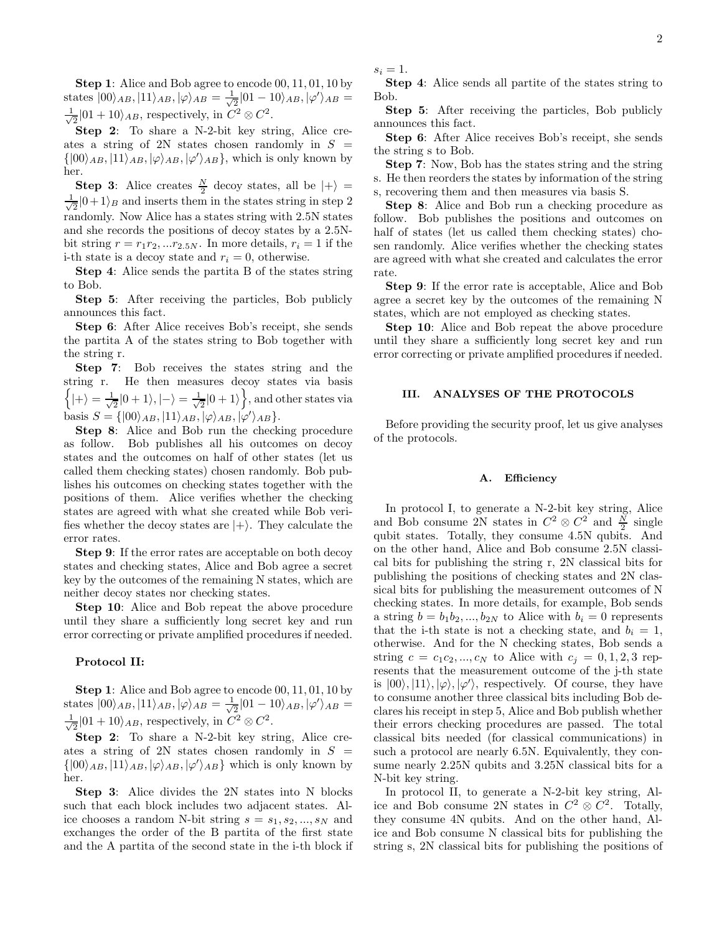Step 1: Alice and Bob agree to encode 00, 11, 01, 10 by states  $|00\rangle_{AB}, |11\rangle_{AB}, |\varphi\rangle_{AB} = \frac{1}{\sqrt{2}}$  $\frac{1}{2} |01 - 10\rangle_{AB}, |\varphi'\rangle_{AB} =$  $\frac{1}{\sqrt{2}}$  $\frac{1}{2}$ |01 + 10 $\rangle_{AB}$ , respectively, in  $C^2 \otimes C^2$ .

Step 2: To share a N-2-bit key string, Alice creates a string of 2N states chosen randomly in  $S =$  $\{|00\rangle_{AB}, |11\rangle_{AB}, |\varphi\rangle_{AB}, |\varphi'\rangle_{AB}\},$  which is only known by her.

**Step 3:** Alice creates  $\frac{N}{2}$  decoy states, all be  $|+\rangle$  =  $\frac{1}{\sqrt{2}}$  $\frac{1}{2}|0+1\rangle_B$  and inserts them in the states string in step 2 randomly. Now Alice has a states string with 2.5N states and she records the positions of decoy states by a 2.5Nbit string  $r = r_1 r_2, \ldots r_{2.5N}$ . In more details,  $r_i = 1$  if the i-th state is a decoy state and  $r_i = 0$ , otherwise.

Step 4: Alice sends the partita B of the states string to Bob.

Step 5: After receiving the particles, Bob publicly announces this fact.

Step 6: After Alice receives Bob's receipt, she sends the partita A of the states string to Bob together with the string r.

Step 7: Bob receives the states string and the string r. He then measures decoy states via basis  $\Big\{\ket{+}=\frac{1}{\sqrt{2}}$  $\frac{1}{2}|0+1\rangle, |-\rangle = \frac{1}{\sqrt{2}}$  $\frac{1}{2}|0+1\rangle$ , and other states via basis  $S = \{ |00\rangle_{AB}, |11\rangle_{AB}, |\varphi\rangle_{AB}, |\varphi'\rangle_{AB} \}.$ 

Step 8: Alice and Bob run the checking procedure as follow. Bob publishes all his outcomes on decoy states and the outcomes on half of other states (let us called them checking states) chosen randomly. Bob publishes his outcomes on checking states together with the positions of them. Alice verifies whether the checking states are agreed with what she created while Bob verifies whether the decoy states are  $|+\rangle$ . They calculate the error rates.

Step 9: If the error rates are acceptable on both decoy states and checking states, Alice and Bob agree a secret key by the outcomes of the remaining N states, which are neither decoy states nor checking states.

Step 10: Alice and Bob repeat the above procedure until they share a sufficiently long secret key and run error correcting or private amplified procedures if needed.

## Protocol II:

Step 1: Alice and Bob agree to encode  $00, 11, 01, 10$  by states  $|00\rangle_{AB}, |11\rangle_{AB}, |\varphi\rangle_{AB} = \frac{1}{\sqrt{2}}$  $\frac{1}{2} |01 - 10\rangle_{AB}, |\varphi'\rangle_{AB} =$  $\frac{1}{\sqrt{2}}$  $\frac{1}{2}$ |01 + 10 $\rangle_{AB}$ , respectively, in  $C^2 \otimes C^2$ .

Step 2: To share a N-2-bit key string, Alice creates a string of 2N states chosen randomly in  $S =$  $\{ |00\rangle_{AB}, |11\rangle_{AB}, |\varphi\rangle_{AB}, |\varphi'\rangle_{AB} \}$  which is only known by her.

Step 3: Alice divides the 2N states into N blocks such that each block includes two adjacent states. Alice chooses a random N-bit string  $s = s_1, s_2, ..., s_N$  and exchanges the order of the B partita of the first state and the A partita of the second state in the i-th block if  $s_i = 1$ .

Step 4: Alice sends all partite of the states string to Bob.

Step 5: After receiving the particles, Bob publicly announces this fact.

Step 6: After Alice receives Bob's receipt, she sends the string s to Bob.

Step 7: Now, Bob has the states string and the string s. He then reorders the states by information of the string s, recovering them and then measures via basis S.

Step 8: Alice and Bob run a checking procedure as follow. Bob publishes the positions and outcomes on half of states (let us called them checking states) chosen randomly. Alice verifies whether the checking states are agreed with what she created and calculates the error rate.

Step 9: If the error rate is acceptable, Alice and Bob agree a secret key by the outcomes of the remaining N states, which are not employed as checking states.

Step 10: Alice and Bob repeat the above procedure until they share a sufficiently long secret key and run error correcting or private amplified procedures if needed.

# III. ANALYSES OF THE PROTOCOLS

Before providing the security proof, let us give analyses of the protocols.

#### A. Efficiency

In protocol I, to generate a N-2-bit key string, Alice and Bob consume 2N states in  $C^2 \otimes C^2$  and  $\frac{N}{2}$  single qubit states. Totally, they consume 4.5N qubits. And on the other hand, Alice and Bob consume 2.5N classical bits for publishing the string r, 2N classical bits for publishing the positions of checking states and 2N classical bits for publishing the measurement outcomes of N checking states. In more details, for example, Bob sends a string  $b = b_1b_2, ..., b_{2N}$  to Alice with  $b_i = 0$  represents that the i-th state is not a checking state, and  $b_i = 1$ , otherwise. And for the N checking states, Bob sends a string  $c = c_1 c_2, ..., c_N$  to Alice with  $c_j = 0, 1, 2, 3$  represents that the measurement outcome of the j-th state is  $|00\rangle, |11\rangle, |\varphi\rangle, |\varphi'\rangle$ , respectively. Of course, they have to consume another three classical bits including Bob declares his receipt in step 5, Alice and Bob publish whether their errors checking procedures are passed. The total classical bits needed (for classical communications) in such a protocol are nearly 6.5N. Equivalently, they consume nearly 2.25N qubits and 3.25N classical bits for a N-bit key string.

In protocol II, to generate a N-2-bit key string, Alice and Bob consume 2N states in  $C^2 \otimes C^2$ . Totally, they consume 4N qubits. And on the other hand, Alice and Bob consume N classical bits for publishing the string s, 2N classical bits for publishing the positions of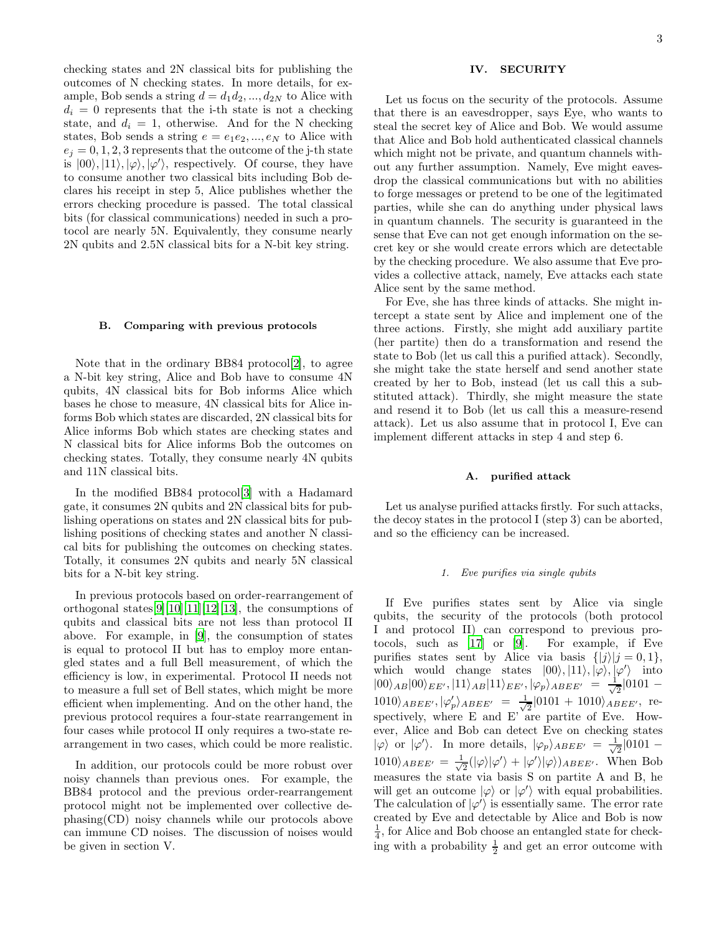checking states and 2N classical bits for publishing the outcomes of N checking states. In more details, for example, Bob sends a string  $d = d_1 d_2, ..., d_{2N}$  to Alice with  $d_i = 0$  represents that the i-th state is not a checking state, and  $d_i = 1$ , otherwise. And for the N checking states, Bob sends a string  $e = e_1e_2, ..., e_N$  to Alice with  $e_i = 0, 1, 2, 3$  represents that the outcome of the j-th state is  $|00\rangle, |11\rangle, |\varphi\rangle, |\varphi'\rangle$ , respectively. Of course, they have to consume another two classical bits including Bob declares his receipt in step 5, Alice publishes whether the errors checking procedure is passed. The total classical bits (for classical communications) needed in such a protocol are nearly 5N. Equivalently, they consume nearly 2N qubits and 2.5N classical bits for a N-bit key string.

### B. Comparing with previous protocols

Note that in the ordinary BB84 protocol[\[2\]](#page-7-1), to agree a N-bit key string, Alice and Bob have to consume 4N qubits, 4N classical bits for Bob informs Alice which bases he chose to measure, 4N classical bits for Alice informs Bob which states are discarded, 2N classical bits for Alice informs Bob which states are checking states and N classical bits for Alice informs Bob the outcomes on checking states. Totally, they consume nearly 4N qubits and 11N classical bits.

In the modified BB84 protocol[\[3\]](#page-7-2) with a Hadamard gate, it consumes 2N qubits and 2N classical bits for publishing operations on states and 2N classical bits for publishing positions of checking states and another N classical bits for publishing the outcomes on checking states. Totally, it consumes 2N qubits and nearly 5N classical bits for a N-bit key string.

In previous protocols based on order-rearrangement of orthogonal states[\[9\]](#page-8-1)[\[10\]](#page-8-2)[\[11\]](#page-8-3)[\[12\]](#page-8-4)[\[13\]](#page-8-5), the consumptions of qubits and classical bits are not less than protocol II above. For example, in [\[9\]](#page-8-1), the consumption of states is equal to protocol II but has to employ more entangled states and a full Bell measurement, of which the efficiency is low, in experimental. Protocol II needs not to measure a full set of Bell states, which might be more efficient when implementing. And on the other hand, the previous protocol requires a four-state rearrangement in four cases while protocol II only requires a two-state rearrangement in two cases, which could be more realistic.

In addition, our protocols could be more robust over noisy channels than previous ones. For example, the BB84 protocol and the previous order-rearrangement protocol might not be implemented over collective dephasing(CD) noisy channels while our protocols above can immune CD noises. The discussion of noises would be given in section V.

# IV. SECURITY

Let us focus on the security of the protocols. Assume that there is an eavesdropper, says Eye, who wants to steal the secret key of Alice and Bob. We would assume that Alice and Bob hold authenticated classical channels which might not be private, and quantum channels without any further assumption. Namely, Eve might eavesdrop the classical communications but with no abilities to forge messages or pretend to be one of the legitimated parties, while she can do anything under physical laws in quantum channels. The security is guaranteed in the sense that Eve can not get enough information on the secret key or she would create errors which are detectable by the checking procedure. We also assume that Eve provides a collective attack, namely, Eve attacks each state Alice sent by the same method.

For Eve, she has three kinds of attacks. She might intercept a state sent by Alice and implement one of the three actions. Firstly, she might add auxiliary partite (her partite) then do a transformation and resend the state to Bob (let us call this a purified attack). Secondly, she might take the state herself and send another state created by her to Bob, instead (let us call this a substituted attack). Thirdly, she might measure the state and resend it to Bob (let us call this a measure-resend attack). Let us also assume that in protocol I, Eve can implement different attacks in step 4 and step 6.

#### A. purified attack

Let us analyse purified attacks firstly. For such attacks, the decoy states in the protocol I (step 3) can be aborted, and so the efficiency can be increased.

#### 1. Eve purifies via single qubits

If Eve purifies states sent by Alice via single qubits, the security of the protocols (both protocol I and protocol II) can correspond to previous protocols, such as [\[17\]](#page-8-9) or [\[9\]](#page-8-1). For example, if Eve purifies states sent by Alice via basis  $\{|j\rangle |j=0,1\},\$ which would change states  $|00\rangle, |11\rangle, |\varphi\rangle, |\varphi'\rangle$  into  $|00\rangle_{AB}|00\rangle_{EE'}, |11\rangle_{AB}|11\rangle_{EE'}, |\varphi_p\rangle_{ABEE'} = \frac{1}{\sqrt{2}}$  $\frac{1}{2}|0101 1010\rangle_{ABEE'}, |\varphi'_p\rangle_{ABEE'} = \frac{1}{\sqrt{2}}$  $\frac{1}{2}$ |0101 + 1010 $\rangle_{ABEE'}$ , respectively, where E and E' are partite of Eve. However, Alice and Bob can detect Eve on checking states  $|\varphi\rangle$  or  $|\varphi'\rangle$ . In more details,  $|\varphi_p\rangle_{ABEE'} = \frac{1}{\sqrt{2}}$  $\frac{1}{2}|0101 1010\rangle_{ABEE'} = \frac{1}{\sqrt{2}}$  $\frac{1}{2}(|\varphi\rangle|\varphi'\rangle + |\varphi'\rangle|\varphi\rangle)_{ABEE'}$ . When Bob measures the state via basis S on partite A and B, he will get an outcome  $|\varphi\rangle$  or  $|\varphi'\rangle$  with equal probabilities. The calculation of  $|\varphi'\rangle$  is essentially same. The error rate created by Eve and detectable by Alice and Bob is now  $\frac{1}{4}$ , for Alice and Bob choose an entangled state for checking with a probability  $\frac{1}{2}$  and get an error outcome with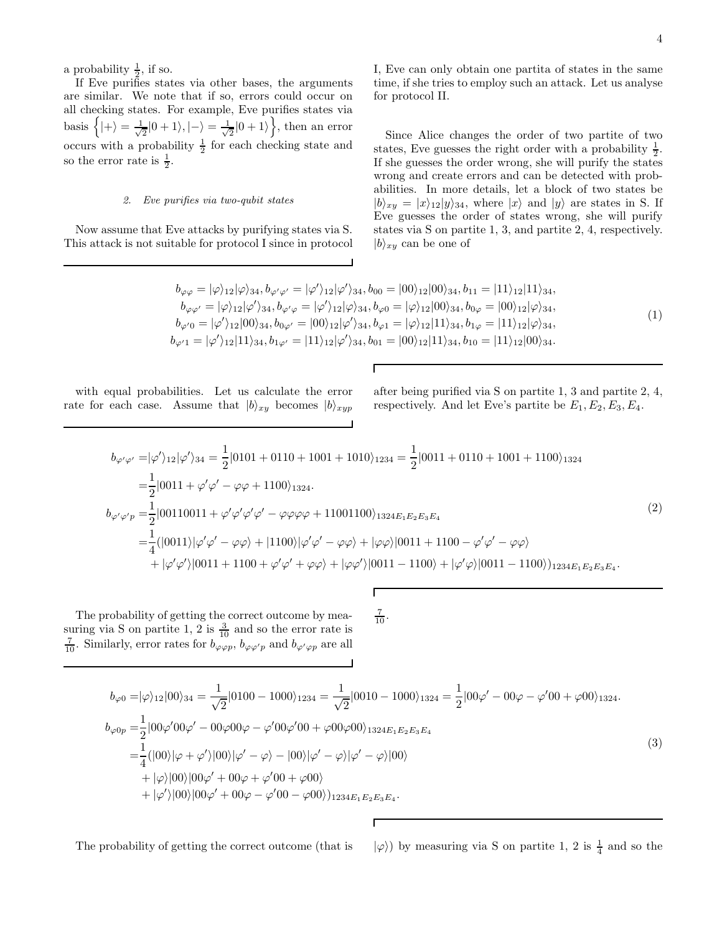a probability  $\frac{1}{2}$ , if so.

If Eve purifies states via other bases, the arguments are similar. We note that if so, errors could occur on all checking states. For example, Eve purifies states via basis  $\Big\{ |+\rangle = \frac{1}{\sqrt{2}}$  $\frac{1}{2}|0+1\rangle, |-\rangle = \frac{1}{\sqrt{2}}$  $\frac{1}{2}|0+1\rangle$ , then an error occurs with a probability  $\frac{1}{2}$  for each checking state and so the error rate is  $\frac{1}{2}$ .

## 2. Eve purifies via two-qubit states

Now assume that Eve attacks by purifying states via S. This attack is not suitable for protocol I since in protocol I, Eve can only obtain one partita of states in the same time, if she tries to employ such an attack. Let us analyse for protocol II.

Since Alice changes the order of two partite of two states, Eve guesses the right order with a probability  $\frac{1}{2}$ . If she guesses the order wrong, she will purify the states wrong and create errors and can be detected with probabilities. In more details, let a block of two states be  $|b\rangle_{xy} = |x\rangle_{12}|y\rangle_{34}$ , where  $|x\rangle$  and  $|y\rangle$  are states in S. If Eve guesses the order of states wrong, she will purify states via S on partite 1, 3, and partite 2, 4, respectively.  $|b\rangle_{xy}$  can be one of

$$
b_{\varphi\varphi} = |\varphi\rangle_{12}|\varphi\rangle_{34}, b_{\varphi'\varphi'} = |\varphi'\rangle_{12}|\varphi'\rangle_{34}, b_{00} = |00\rangle_{12}|00\rangle_{34}, b_{11} = |11\rangle_{12}|11\rangle_{34}, \n b_{\varphi\varphi'} = |\varphi\rangle_{12}|\varphi'\rangle_{34}, b_{\varphi'\varphi} = |\varphi'\rangle_{12}|\varphi\rangle_{34}, b_{\varphi0} = |\varphi\rangle_{12}|00\rangle_{34}, b_{0\varphi} = |00\rangle_{12}|\varphi\rangle_{34}, \n b_{\varphi'0} = |\varphi'\rangle_{12}|00\rangle_{34}, b_{0\varphi'} = |00\rangle_{12}|\varphi'\rangle_{34}, b_{\varphi1} = |\varphi\rangle_{12}|11\rangle_{34}, b_{1\varphi} = |11\rangle_{12}|\varphi\rangle_{34}, \n b_{\varphi'1} = |\varphi'\rangle_{12}|11\rangle_{34}, b_{1\varphi'} = |11\rangle_{12}|\varphi'\rangle_{34}, b_{01} = |00\rangle_{12}|11\rangle_{34}, b_{10} = |11\rangle_{12}|00\rangle_{34}.
$$
\n
$$
(1)
$$

with equal probabilities. Let us calculate the error rate for each case. Assume that  $|b\rangle_{xy}$  becomes  $|b\rangle_{xyp}$ 

after being purified via S on partite 1, 3 and partite 2, 4, respectively. And let Eve's partite be  $E_1, E_2, E_3, E_4$ .

$$
b_{\varphi'\varphi'} = |\varphi'\rangle_{12} |\varphi'\rangle_{34} = \frac{1}{2} |0101 + 0110 + 1001 + 1010\rangle_{1234} = \frac{1}{2} |0011 + 0110 + 1001 + 1100\rangle_{1324}
$$
  
\n
$$
= \frac{1}{2} |0011 + \varphi'\varphi' - \varphi\varphi + 1100\rangle_{1324}.
$$
  
\n
$$
b_{\varphi'\varphi'p} = \frac{1}{2} |00110011 + \varphi'\varphi'\varphi'\varphi' - \varphi\varphi\varphi\varphi + 11001100\rangle_{1324E_1E_2E_3E_4}
$$
  
\n
$$
= \frac{1}{4} (|0011\rangle|\varphi'\varphi' - \varphi\varphi\rangle + |1100\rangle|\varphi'\varphi' - \varphi\varphi\rangle + |\varphi\varphi\rangle|0011 + 1100 - \varphi'\varphi' - \varphi\varphi\rangle
$$
  
\n
$$
+ |\varphi'\varphi'\rangle|0011 + 1100 + \varphi'\varphi' + \varphi\varphi\rangle + |\varphi\varphi'\rangle|0011 - 1100\rangle + |\varphi'\varphi\rangle|0011 - 1100\rangle)_{1234E_1E_2E_3E_4}.
$$
  
\n(2)

The probability of getting the correct outcome by measuring via S on partite 1, 2 is  $\frac{3}{10}$  and so the error rate is  $\frac{7}{10}$ . Similarly, error rates for  $b_{\varphi \varphi p}$ ,  $b_{\varphi \varphi' p}$  and  $b_{\varphi' \varphi p}$  are all  $rac{7}{10}$ .

$$
b_{\varphi 0} = |\varphi\rangle_{12}|00\rangle_{34} = \frac{1}{\sqrt{2}}|0100 - 1000\rangle_{1234} = \frac{1}{\sqrt{2}}|0010 - 1000\rangle_{1324} = \frac{1}{2}|00\varphi' - 00\varphi - \varphi'00 + \varphi 00\rangle_{1324}.
$$
  
\n
$$
b_{\varphi 0p} = \frac{1}{2}|00\varphi'00\varphi' - 00\varphi 00\varphi - \varphi'00\varphi'00 + \varphi 00\varphi 00\rangle_{1324E_1E_2E_3E_4}
$$
  
\n
$$
= \frac{1}{4}(|00\rangle|\varphi + \varphi'\rangle|00\rangle|\varphi' - \varphi\rangle - |00\rangle|\varphi' - \varphi\rangle|\varphi' - \varphi\rangle|00\rangle
$$
  
\n
$$
+ |\varphi\rangle|00\rangle|00\varphi' + 00\varphi + \varphi'00 + \varphi 00\rangle
$$
  
\n
$$
+ |\varphi'\rangle|00\rangle|00\varphi' + 00\varphi - \varphi'00 - \varphi 00\rangle)_{1234E_1E_2E_3E_4}.
$$
  
\n(3)

The probability of getting the correct outcome (that is

 $\frac{1}{4}$  and so the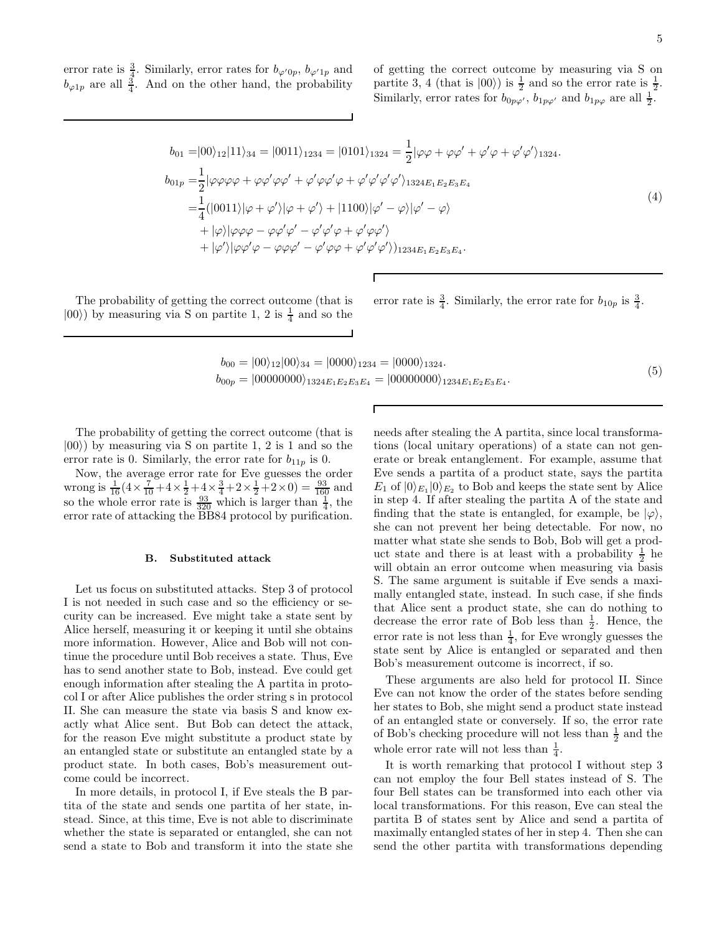error rate is  $\frac{3}{4}$ . Similarly, error rates for  $b_{\varphi'(0p)}$ ,  $b_{\varphi'(1p)}$  and  $b_{\varphi 1p}$  are all  $\frac{3}{4}$ . And on the other hand, the probability

of getting the correct outcome by measuring via S on partite 3, 4 (that is  $|00\rangle$ ) is  $\frac{1}{2}$  and so the error rate is  $\frac{1}{2}$ . Similarly, error rates for  $b_{0p\varphi'}$ ,  $b_{1p\varphi'}$  and  $b_{1p\varphi}$  are all  $\frac{1}{2}$ .

$$
b_{01} = |00\rangle_{12}|11\rangle_{34} = |0011\rangle_{1234} = |0101\rangle_{1324} = \frac{1}{2}|\varphi\varphi + \varphi\varphi' + \varphi'\varphi + \varphi'\varphi'\rangle_{1324}.
$$
  
\n
$$
b_{01p} = \frac{1}{2}|\varphi\varphi\varphi\varphi + \varphi\varphi'\varphi\varphi' + \varphi'\varphi\varphi'\varphi' + \varphi'\varphi'\varphi'\rangle_{1324E_1E_2E_3E_4}
$$
  
\n
$$
= \frac{1}{4}(|0011\rangle|\varphi + \varphi'\rangle|\varphi + \varphi'\rangle + |1100\rangle|\varphi' - \varphi\rangle|\varphi' - \varphi\rangle
$$
  
\n
$$
+ |\varphi\rangle|\varphi\varphi\varphi - \varphi\varphi'\varphi' - \varphi'\varphi'\varphi + \varphi'\varphi\varphi'\rangle_{1234E_1E_2E_3E_4}.
$$
  
\n(4)

The probability of getting the correct outcome (that is  $|00\rangle$ ) by measuring via S on partite 1, 2 is  $\frac{1}{4}$  and so the error rate is  $\frac{3}{4}$ . Similarly, the error rate for  $b_{10p}$  is  $\frac{3}{4}$ .

$$
b_{00} = |00\rangle_{12}|00\rangle_{34} = |0000\rangle_{1234} = |0000\rangle_{1324}.
$$
  
\n
$$
b_{00p} = |00000000\rangle_{1324E_1E_2E_3E_4} = |00000000\rangle_{1234E_1E_2E_3E_4}.
$$
\n(5)

Г

The probability of getting the correct outcome (that is  $|00\rangle$ ) by measuring via S on partite 1, 2 is 1 and so the error rate is 0. Similarly, the error rate for  $b_{11p}$  is 0.

Now, the average error rate for Eve guesses the order wrong is  $\frac{1}{16}$  ( $4 \times \frac{7}{10}$  +  $4 \times \frac{1}{2}$  +  $4 \times \frac{3}{4}$  +  $2 \times \frac{1}{2}$  +  $2 \times 0$ ) =  $\frac{93}{160}$  and so the whole error rate is  $\frac{93}{320}$  which is larger than  $\frac{1}{4}$ , the error rate of attacking the BB84 protocol by purification.

#### B. Substituted attack

Let us focus on substituted attacks. Step 3 of protocol I is not needed in such case and so the efficiency or security can be increased. Eve might take a state sent by Alice herself, measuring it or keeping it until she obtains more information. However, Alice and Bob will not continue the procedure until Bob receives a state. Thus, Eve has to send another state to Bob, instead. Eve could get enough information after stealing the A partita in protocol I or after Alice publishes the order string s in protocol II. She can measure the state via basis S and know exactly what Alice sent. But Bob can detect the attack, for the reason Eve might substitute a product state by an entangled state or substitute an entangled state by a product state. In both cases, Bob's measurement outcome could be incorrect.

In more details, in protocol I, if Eve steals the B partita of the state and sends one partita of her state, instead. Since, at this time, Eve is not able to discriminate whether the state is separated or entangled, she can not send a state to Bob and transform it into the state she

needs after stealing the A partita, since local transformations (local unitary operations) of a state can not generate or break entanglement. For example, assume that Eve sends a partita of a product state, says the partita  $E_1$  of  $|0\rangle_{E_1}|0\rangle_{E_2}$  to Bob and keeps the state sent by Alice in step 4. If after stealing the partita A of the state and finding that the state is entangled, for example, be  $|\varphi\rangle$ , she can not prevent her being detectable. For now, no matter what state she sends to Bob, Bob will get a product state and there is at least with a probability  $\frac{1}{2}$  he will obtain an error outcome when measuring via basis S. The same argument is suitable if Eve sends a maximally entangled state, instead. In such case, if she finds that Alice sent a product state, she can do nothing to decrease the error rate of Bob less than  $\frac{1}{2}$ . Hence, the error rate is not less than  $\frac{1}{4}$ , for Eve wrongly guesses the state sent by Alice is entangled or separated and then Bob's measurement outcome is incorrect, if so.

These arguments are also held for protocol II. Since Eve can not know the order of the states before sending her states to Bob, she might send a product state instead of an entangled state or conversely. If so, the error rate of Bob's checking procedure will not less than  $\frac{1}{2}$  and the whole error rate will not less than  $\frac{1}{4}$ .

It is worth remarking that protocol I without step 3 can not employ the four Bell states instead of S. The four Bell states can be transformed into each other via local transformations. For this reason, Eve can steal the partita B of states sent by Alice and send a partita of maximally entangled states of her in step 4. Then she can send the other partita with transformations depending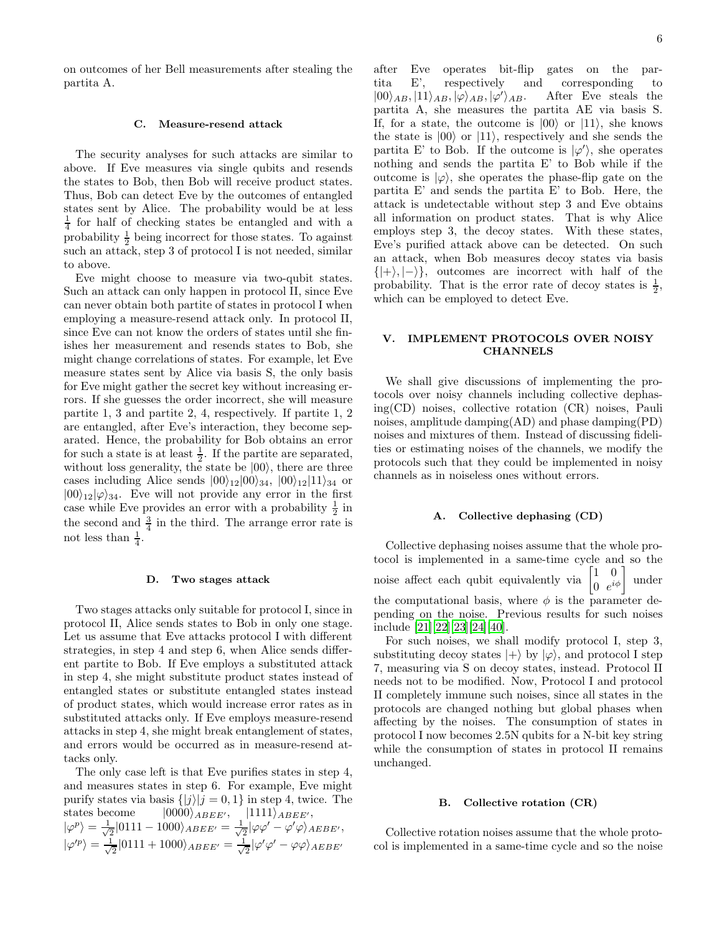on outcomes of her Bell measurements after stealing the partita A.

#### C. Measure-resend attack

The security analyses for such attacks are similar to above. If Eve measures via single qubits and resends the states to Bob, then Bob will receive product states. Thus, Bob can detect Eve by the outcomes of entangled states sent by Alice. The probability would be at less  $\frac{1}{4}$  for half of checking states be entangled and with a probability  $\frac{1}{2}$  being incorrect for those states. To against such an attack, step 3 of protocol I is not needed, similar to above.

Eve might choose to measure via two-qubit states. Such an attack can only happen in protocol II, since Eve can never obtain both partite of states in protocol I when employing a measure-resend attack only. In protocol II, since Eve can not know the orders of states until she finishes her measurement and resends states to Bob, she might change correlations of states. For example, let Eve measure states sent by Alice via basis S, the only basis for Eve might gather the secret key without increasing errors. If she guesses the order incorrect, she will measure partite 1, 3 and partite 2, 4, respectively. If partite 1, 2 are entangled, after Eve's interaction, they become separated. Hence, the probability for Bob obtains an error for such a state is at least  $\frac{1}{2}$ . If the partite are separated, without loss generality, the state be  $|00\rangle$ , there are three cases including Alice sends  $|00\rangle_{12}|00\rangle_{34}$ ,  $|00\rangle_{12}|11\rangle_{34}$  or  $|00\rangle_{12}|\varphi\rangle_{34}$ . Eve will not provide any error in the first case while Eve provides an error with a probability  $\frac{1}{2}$  in the second and  $\frac{3}{4}$  in the third. The arrange error rate is not less than  $\frac{1}{4}$ .

#### D. Two stages attack

Two stages attacks only suitable for protocol I, since in protocol II, Alice sends states to Bob in only one stage. Let us assume that Eve attacks protocol I with different strategies, in step 4 and step 6, when Alice sends different partite to Bob. If Eve employs a substituted attack in step 4, she might substitute product states instead of entangled states or substitute entangled states instead of product states, which would increase error rates as in substituted attacks only. If Eve employs measure-resend attacks in step 4, she might break entanglement of states, and errors would be occurred as in measure-resend attacks only.

The only case left is that Eve purifies states in step 4, and measures states in step 6. For example, Eve might purify states via basis  $\{|j\rangle |j = 0, 1\}$  in step 4, twice. The states become  $|0000\rangle_{ABEE'}$ ,  $|1111\rangle_{ABEE'}$ ,  $|\varphi^p\rangle = \frac{1}{\sqrt{2}}$  $\frac{1}{2} |0111 - 1000\rangle_{ABEE'} = \frac{1}{\sqrt{2}}$  $\frac{1}{2}|\varphi\varphi'-\varphi'\varphi\rangle_{AEBE'},$  $|\varphi'^p\rangle = \frac{1}{\sqrt{2}}$  $\frac{1}{2} |0111 + 1000\rangle_{ABEE'} = \frac{1}{\sqrt{2}}$  $\frac{1}{2}|\varphi'\varphi'-\varphi\varphi\rangle_{AEBE'}$ 

after Eve operates bit-flip gates on the partita E', respectively and corresponding to  $|00\rangle_{AB}, |11\rangle_{AB}, |\varphi\rangle_{AB}, |\varphi\rangle$ After Eve steals the partita A, she measures the partita AE via basis S. If, for a state, the outcome is  $|00\rangle$  or  $|11\rangle$ , she knows the state is  $|00\rangle$  or  $|11\rangle$ , respectively and she sends the partita E' to Bob. If the outcome is  $|\varphi'\rangle$ , she operates nothing and sends the partita E' to Bob while if the outcome is  $|\varphi\rangle$ , she operates the phase-flip gate on the partita E' and sends the partita E' to Bob. Here, the attack is undetectable without step 3 and Eve obtains all information on product states. That is why Alice employs step 3, the decoy states. With these states, Eve's purified attack above can be detected. On such an attack, when Bob measures decoy states via basis  $\{|+\rangle, |-\rangle\}$ , outcomes are incorrect with half of the probability. That is the error rate of decoy states is  $\frac{1}{2}$ , which can be employed to detect Eve.

## V. IMPLEMENT PROTOCOLS OVER NOISY **CHANNELS**

We shall give discussions of implementing the protocols over noisy channels including collective dephasing(CD) noises, collective rotation (CR) noises, Pauli noises, amplitude damping(AD) and phase damping(PD) noises and mixtures of them. Instead of discussing fidelities or estimating noises of the channels, we modify the protocols such that they could be implemented in noisy channels as in noiseless ones without errors.

### A. Collective dephasing (CD)

Collective dephasing noises assume that the whole protocol is implemented in a same-time cycle and so the noise affect each qubit equivalently via  $\begin{bmatrix} 1 & 0 \\ 0 & 0 \end{bmatrix}$  $\begin{bmatrix} 1 & 0 \\ 0 & e^{i\phi} \end{bmatrix}$  under the computational basis, where  $\phi$  is the parameter depending on the noise. Previous results for such noises include [\[21](#page-8-13)][\[22\]](#page-8-14)[\[23](#page-8-15)][\[24\]](#page-8-16)[\[40\]](#page-8-32).

For such noises, we shall modify protocol I, step 3, substituting decoy states  $|+\rangle$  by  $|\varphi\rangle$ , and protocol I step 7, measuring via S on decoy states, instead. Protocol II needs not to be modified. Now, Protocol I and protocol II completely immune such noises, since all states in the protocols are changed nothing but global phases when affecting by the noises. The consumption of states in protocol I now becomes 2.5N qubits for a N-bit key string while the consumption of states in protocol II remains unchanged.

## B. Collective rotation (CR)

Collective rotation noises assume that the whole protocol is implemented in a same-time cycle and so the noise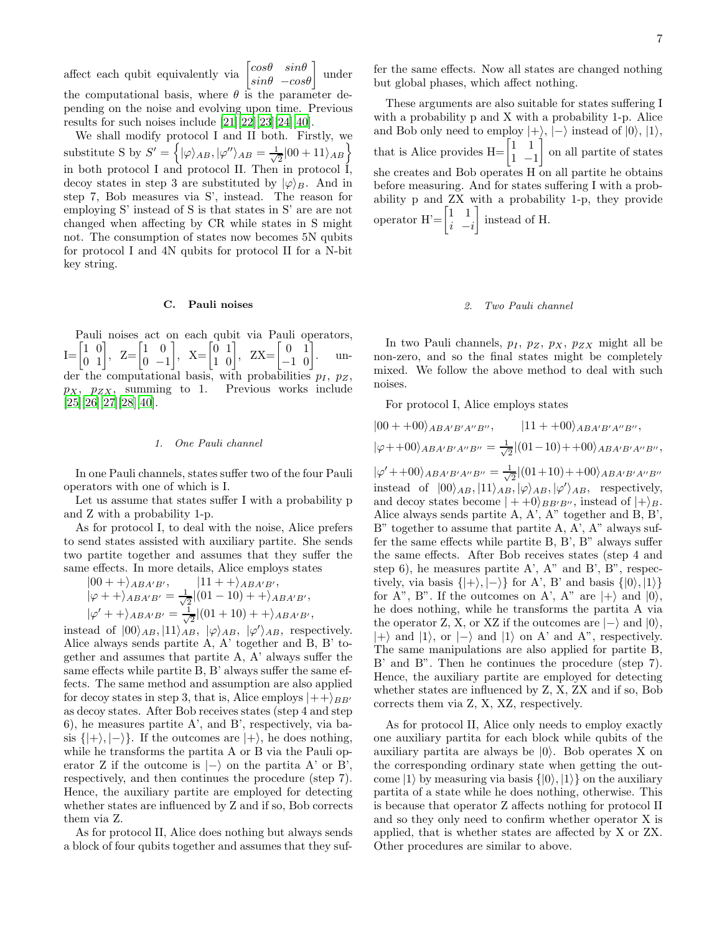affect each qubit equivalently via  $\begin{bmatrix} cos\theta & sin\theta \\ sin\theta & -cos\theta \end{bmatrix}$  under the computational basis, where  $\theta$  is the parameter depending on the noise and evolving upon time. Previous results for such noises include [\[21](#page-8-13)][\[22\]](#page-8-14)[\[23](#page-8-15)][\[24\]](#page-8-16)[\[40](#page-8-32)].

We shall modify protocol I and II both. Firstly, we substitute S by  $S' = \left\{ |\varphi\rangle_{AB}, |\varphi''\rangle_{AB} = \frac{1}{\sqrt{2}} \right\}$  $\frac{1}{2} |00 + 11\rangle_{AB}$ in both protocol I and protocol II. Then in protocol I, decoy states in step 3 are substituted by  $|\varphi\rangle_B$ . And in step 7, Bob measures via S', instead. The reason for employing S' instead of S is that states in S' are are not changed when affecting by CR while states in S might not. The consumption of states now becomes 5N qubits for protocol I and 4N qubits for protocol II for a N-bit key string.

# C. Pauli noises

Pauli noises act on each qubit via Pauli operators,  $I = \begin{bmatrix} 1 & 0 \\ 0 & 1 \end{bmatrix}, Z = \begin{bmatrix} 1 & 0 \\ 0 & -1 \end{bmatrix}$  $0 -1$  $\begin{bmatrix} 0 & 1 \\ 1 & 0 \end{bmatrix}$ , ZX= $\begin{bmatrix} 0 & 1 \\ -1 & 0 \end{bmatrix}$ . under the computational basis, with probabilities  $p_I$ ,  $p_Z$ ,  $p_X$ ,  $p_{ZX}$ , summing to 1. Previous works include  $[25][26][27][28][40].$  $[25][26][27][28][40].$  $[25][26][27][28][40].$  $[25][26][27][28][40].$  $[25][26][27][28][40].$  $[25][26][27][28][40].$  $[25][26][27][28][40].$  $[25][26][27][28][40].$ 

#### 1. One Pauli channel

In one Pauli channels, states suffer two of the four Pauli operators with one of which is I.

Let us assume that states suffer I with a probability p and Z with a probability 1-p.

As for protocol I, to deal with the noise, Alice prefers to send states assisted with auxiliary partite. She sends two partite together and assumes that they suffer the same effects. In more details, Alice employs states

$$
|00 + \rangle_{ABA'B'}, \qquad |11 + \rangle_{ABA'B'},
$$
  
\n
$$
|\varphi + \rangle_{ABA'B'} = \frac{1}{\sqrt{2}}|(01 - 10) + \rangle_{ABA'B'},
$$
  
\n
$$
|\varphi' + \rangle_{ABA'B'} = \frac{1}{\sqrt{2}}|(01 + 10) + \rangle_{ABA'B'},
$$

instead of  $|00\rangle_{AB}$ ,  $|11\rangle_{AB}$ ,  $|\varphi\rangle_{AB}$ ,  $|\varphi'\rangle_{AB}$ , respectively. Alice always sends partite A, A' together and B, B' together and assumes that partite A, A' always suffer the same effects while partite B, B' always suffer the same effects. The same method and assumption are also applied for decoy states in step 3, that is, Alice employs  $|++\rangle_{BB'}$ as decoy states. After Bob receives states (step 4 and step 6), he measures partite A', and B', respectively, via basis  $\{|+\rangle, |-\rangle\}$ . If the outcomes are  $|+\rangle$ , he does nothing, while he transforms the partita A or B via the Pauli operator Z if the outcome is  $\vert -\rangle$  on the partita A' or B', respectively, and then continues the procedure (step 7). Hence, the auxiliary partite are employed for detecting whether states are influenced by Z and if so, Bob corrects them via Z.

As for protocol II, Alice does nothing but always sends a block of four qubits together and assumes that they suf-

fer the same effects. Now all states are changed nothing but global phases, which affect nothing.

These arguments are also suitable for states suffering I with a probability p and X with a probability 1-p. Alice and Bob only need to employ  $|+\rangle$ ,  $|-\rangle$  instead of  $|0\rangle$ ,  $|1\rangle$ , that is Alice provides  $H = \begin{bmatrix} 1 & 1 \\ 1 & 1 \end{bmatrix}$  $1 -1$  on all partite of states she creates and Bob operates H on all partite he obtains before measuring. And for states suffering I with a probability p and ZX with a probability 1-p, they provide operator  $H' = \begin{bmatrix} 1 & 1 \\ 1 & 1 \end{bmatrix}$  $i - i$ instead of H.

### 2. Two Pauli channel

In two Pauli channels,  $p_I$ ,  $p_Z$ ,  $p_X$ ,  $p_{ZX}$  might all be non-zero, and so the final states might be completely mixed. We follow the above method to deal with such noises.

For protocol I, Alice employs states

$$
|00 + +00\rangle_{ABA'B'A''B''}
$$
,  $|11 + +00\rangle_{ABA'B'A''B''}$ ,  $|\varphi + +00\rangle_{ABA'B'A''B''} = \frac{1}{\sqrt{2}}|(01-10) + +00\rangle_{ABA'B'A''B''}$ ,  $|\varphi' + +00\rangle_{ABA'B'A''B''} = \frac{1}{\sqrt{2}}|(01+10) + +00\rangle_{ABA'B'A''B''}$  instead of  $|00\rangle_{AB}, |11\rangle_{AB}, |\varphi\rangle_{AB}, |\varphi'\rangle_{AB}$ , respectively, and decoy states become  $| + +0\rangle_{BB'B''}$ , instead of  $| + \rangle_B$ . Alice always sends partite A, A', A'' together and B, B', B'' together to assume that partite A, A', A'' always suffer the same effects while partite B, B', B'' always suffer the same effects. After Bob receives states (step 4 and step 6), he measures partite A', A'' and B', B'', respectively, via basis  $\{| + \rangle, | - \rangle\}$  for A', B' and basis  $\{|0\rangle, |1\rangle\}$  for A'', B''. If the outcomes on A', A'' are  $| + \rangle$  and  $|0\rangle$ , he does nothing, while he transforms the partita A via the operator Z, X, or XZ if the outcomes are  $| - \rangle$  and  $|0\rangle$ ,  $| + \rangle$  and  $|1\rangle$ , or  $| - \rangle$  and  $|1\rangle$  on A' and A'', respectively. The same manipulations are also applied for partite B, B' and B''. Then he continues the procedure (step 7). Hence, the auxiliary partite are employed for detecting whether states are influenced by Z, X, ZZ, and if so, Bob corrects them via Z, X, XZ, respectively.

As for protocol II, Alice only needs to employ exactly one auxiliary partita for each block while qubits of the auxiliary partita are always be  $|0\rangle$ . Bob operates X on the corresponding ordinary state when getting the outcome  $|1\rangle$  by measuring via basis  $\{|0\rangle, |1\rangle\}$  on the auxiliary partita of a state while he does nothing, otherwise. This is because that operator Z affects nothing for protocol II and so they only need to confirm whether operator X is applied, that is whether states are affected by X or ZX. Other procedures are similar to above.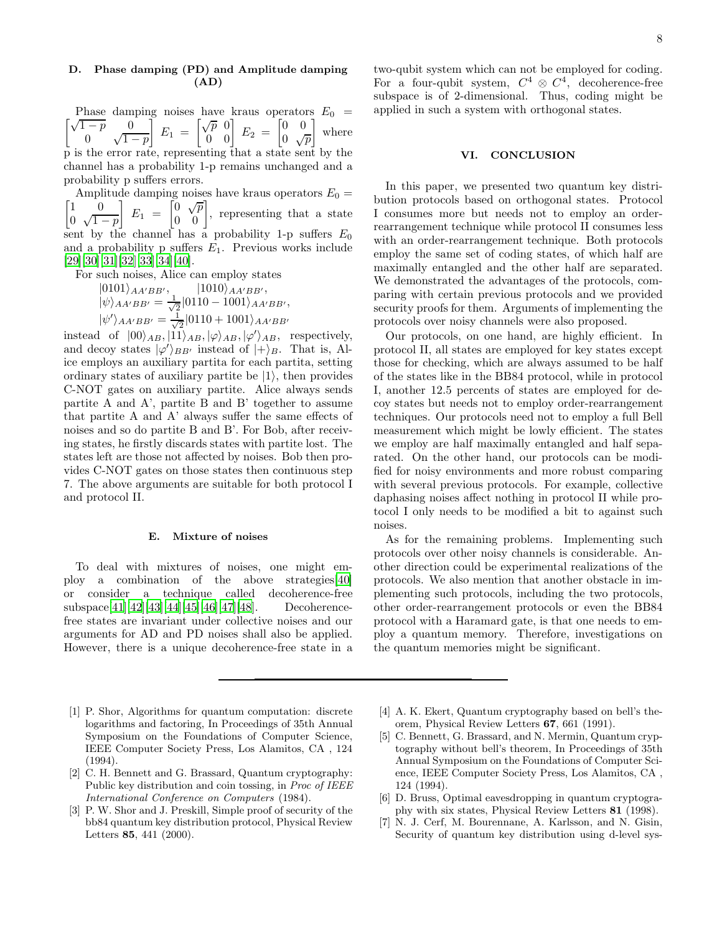# D. Phase damping (PD) and Amplitude damping (AD)

Phase damping noises have kraus operators  $E_0 = \begin{bmatrix} \sqrt{1-p} & 0 \\ 0 & E_1 \end{bmatrix} E_1 = \begin{bmatrix} \sqrt{p} & 0 \\ 0 & E_2 \end{bmatrix} E_2 = \begin{bmatrix} 0 & 0 \\ 0 & 0 \end{bmatrix}$  where  $\int_{1}^{p} \sqrt{1-p}$  $\left[\begin{array}{cc} E_1 \end{array}\right]=\left[\begin{array}{cc} \sqrt{p} & 0 \ 0 & 0 \end{array}\right]\ E_2\ =\left[\begin{array}{cc} 0 & 0 \ 0 & \sqrt{p} \end{array}\right]$  $0 \sqrt{p}$ where p is the error rate, representing that a state sent by the channel has a probability 1-p remains unchanged and a probability p suffers errors.

ſ Amplitude damping noises have kraus operators  $E_0 =$ 1 0 0  $\sqrt{1-p}$  $E_1 = \begin{bmatrix} 0 & \sqrt{p} \\ 0 & 0 \end{bmatrix}$ , representing that a state sent by the channel has a probability 1-p suffers  $E_0$ and a probability p suffers  $E_1$ . Previous works include [\[29\]](#page-8-21)[\[30](#page-8-22)][\[31\]](#page-8-23)[\[32](#page-8-24)][\[33\]](#page-8-25)[\[34](#page-8-26)][\[40\]](#page-8-32).

For such noises, Alice can employ states

 $|0101\rangle_{AA'BB'}$ ,  $|1010\rangle_{AA'BB'}$ ,  $|\psi\rangle_{AA'BB'} = \frac{1}{\sqrt{2}}$  $\frac{1}{2} |0110 - 1001\rangle_{AA'BB'},$  $|\psi'\rangle_{AA'BB'}=\frac{1}{\sqrt{2}}$  $\frac{1}{2} |0110+1001\rangle_{AA'BB'}$ 

instead of  $|00\rangle_{AB}$ ,  $|11\rangle_{AB}$ ,  $|\varphi\rangle_{AB}$ ,  $|\varphi'\rangle_{AB}$ , respectively, and decoy states  $|\varphi'\rangle_{BB'}$  instead of  $|+\rangle_B$ . That is, Alice employs an auxiliary partita for each partita, setting ordinary states of auxiliary partite be  $|1\rangle$ , then provides C-NOT gates on auxiliary partite. Alice always sends partite A and A', partite B and B' together to assume that partite A and A' always suffer the same effects of noises and so do partite B and B'. For Bob, after receiving states, he firstly discards states with partite lost. The states left are those not affected by noises. Bob then provides C-NOT gates on those states then continuous step 7. The above arguments are suitable for both protocol I and protocol II.

#### E. Mixture of noises

To deal with mixtures of noises, one might employ a combination of the above strategies[\[40\]](#page-8-32) or consider a technique called decoherence-free subspace[\[41\]](#page-8-33)[\[42\]](#page-9-0)[\[43](#page-9-1)][\[44\]](#page-9-2)[\[45](#page-9-3)][\[46\]](#page-9-4)[\[47\]](#page-9-5)[\[48\]](#page-9-6). Decoherencefree states are invariant under collective noises and our arguments for AD and PD noises shall also be applied. However, there is a unique decoherence-free state in a

two-qubit system which can not be employed for coding. For a four-qubit system,  $C^4 \otimes C^4$ , decoherence-free subspace is of 2-dimensional. Thus, coding might be applied in such a system with orthogonal states.

### VI. CONCLUSION

In this paper, we presented two quantum key distribution protocols based on orthogonal states. Protocol I consumes more but needs not to employ an orderrearrangement technique while protocol II consumes less with an order-rearrangement technique. Both protocols employ the same set of coding states, of which half are maximally entangled and the other half are separated. We demonstrated the advantages of the protocols, comparing with certain previous protocols and we provided security proofs for them. Arguments of implementing the protocols over noisy channels were also proposed.

Our protocols, on one hand, are highly efficient. In protocol II, all states are employed for key states except those for checking, which are always assumed to be half of the states like in the BB84 protocol, while in protocol I, another 12.5 percents of states are employed for decoy states but needs not to employ order-rearrangement techniques. Our protocols need not to employ a full Bell measurement which might be lowly efficient. The states we employ are half maximally entangled and half separated. On the other hand, our protocols can be modified for noisy environments and more robust comparing with several previous protocols. For example, collective daphasing noises affect nothing in protocol II while protocol I only needs to be modified a bit to against such noises.

As for the remaining problems. Implementing such protocols over other noisy channels is considerable. Another direction could be experimental realizations of the protocols. We also mention that another obstacle in implementing such protocols, including the two protocols, other order-rearrangement protocols or even the BB84 protocol with a Haramard gate, is that one needs to employ a quantum memory. Therefore, investigations on the quantum memories might be significant.

- <span id="page-7-0"></span>[1] P. Shor, Algorithms for quantum computation: discrete logarithms and factoring, In Proceedings of 35th Annual Symposium on the Foundations of Computer Science, IEEE Computer Society Press, Los Alamitos, CA , 124 (1994).
- <span id="page-7-1"></span>[2] C. H. Bennett and G. Brassard, Quantum cryptography: Public key distribution and coin tossing, in *Proc of IEEE* International Conference on Computers (1984).
- <span id="page-7-2"></span>[3] P. W. Shor and J. Preskill, Simple proof of security of the bb84 quantum key distribution protocol, Physical Review Letters 85, 441 (2000).
- <span id="page-7-3"></span>[4] A. K. Ekert, Quantum cryptography based on bell's theorem, Physical Review Letters 67, 661 (1991).
- <span id="page-7-4"></span>[5] C. Bennett, G. Brassard, and N. Mermin, Quantum cryptography without bell's theorem, In Proceedings of 35th Annual Symposium on the Foundations of Computer Science, IEEE Computer Society Press, Los Alamitos, CA , 124 (1994).
- <span id="page-7-5"></span>[6] D. Bruss, Optimal eavesdropping in quantum cryptography with six states, Physical Review Letters 81 (1998).
- <span id="page-7-6"></span>[7] N. J. Cerf, M. Bourennane, A. Karlsson, and N. Gisin, Security of quantum key distribution using d-level sys-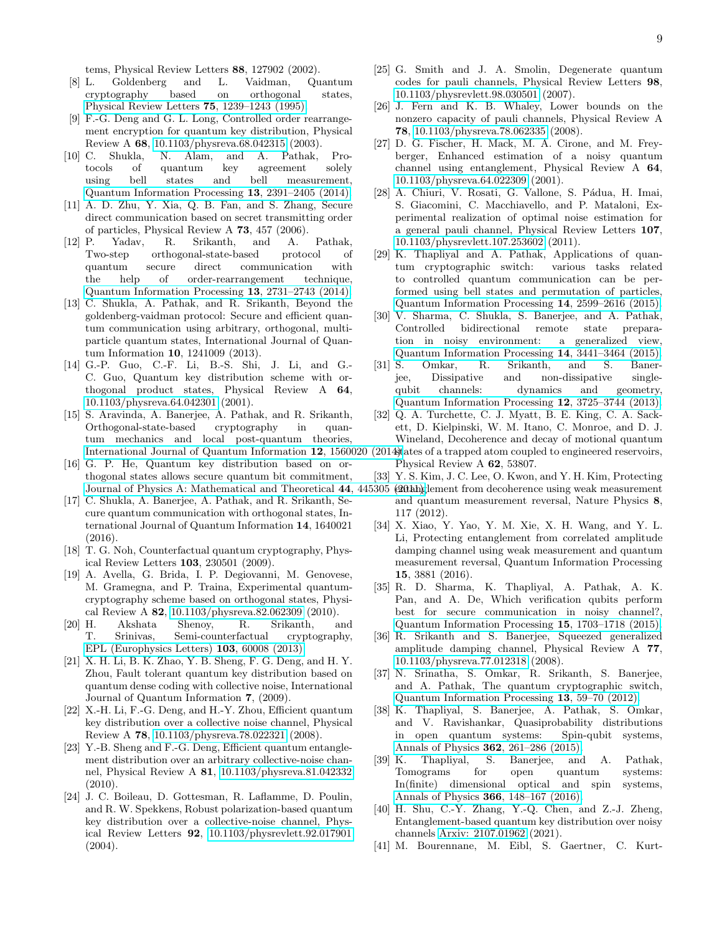tems, Physical Review Letters 88, 127902 (2002).

- <span id="page-8-0"></span>[8] L. Goldenberg and L. Vaidman, Quantum cryptography based on orthogonal states, [Physical Review Letters](https://doi.org/10.1103/physrevlett.75.1239) 75, 1239–1243 (1995).
- <span id="page-8-1"></span>[9] F.-G. Deng and G. L. Long, Controlled order rearrangement encryption for quantum key distribution, Physical Review A 68, [10.1103/physreva.68.042315](https://doi.org/10.1103/physreva.68.042315) (2003).
- <span id="page-8-2"></span>[10] C. Shukla, N. Alam, and A. Pathak, Protocols of quantum key agreement solely<br>using bell states and bell measurement, bell states and bell measurement, [Quantum Information Processing](https://doi.org/10.1007/s11128-014-0784-0) 13, 2391–2405 (2014).
- <span id="page-8-3"></span>[11] A. D. Zhu, Y. Xia, Q. B. Fan, and S. Zhang, Secure direct communication based on secret transmitting order of particles, Physical Review A 73, 457 (2006).
- <span id="page-8-4"></span>[12] P. Yadav, R. Srikanth, and A. Pathak, Two-step orthogonal-state-based protocol of quantum secure direct communication with the help of order-rearrangement technique, [Quantum Information Processing](https://doi.org/10.1007/s11128-014-0825-8) 13, 2731–2743 (2014).
- <span id="page-8-5"></span>[13] C. Shukla, A. Pathak, and R. Srikanth, Beyond the goldenberg-vaidman protocol: Secure and efficient quantum communication using arbitrary, orthogonal, multiparticle quantum states, International Journal of Quantum Information 10, 1241009 (2013).
- <span id="page-8-6"></span>[14] G.-P. Guo, C.-F. Li, B.-S. Shi, J. Li, and G.- C. Guo, Quantum key distribution scheme with orthogonal product states, Physical Review A 64, [10.1103/physreva.64.042301](https://doi.org/10.1103/physreva.64.042301) (2001).
- <span id="page-8-7"></span>[15] S. Aravinda, A. Banerjee, A. Pathak, and R. Srikanth, Orthogonal-state-based cryptography in quantum mechanics and local post-quantum theories, [International Journal of Quantum Information](https://doi.org/10.1142/s0219749915600205) 12, 1560020
- <span id="page-8-8"></span>[16] G. P. He, Quantum key distribution based on orthogonal states allows secure quantum bit commitment,
- <span id="page-8-9"></span>[17] C. Shukla, A. Banerjee, A. Pathak, and R. Srikanth, Secure quantum communication with orthogonal states, International Journal of Quantum Information 14, 1640021  $(2016).$
- <span id="page-8-10"></span>[18] T. G. Noh, Counterfactual quantum cryptography, Physical Review Letters 103, 230501 (2009).
- <span id="page-8-11"></span>[19] A. Avella, G. Brida, I. P. Degiovanni, M. Genovese, M. Gramegna, and P. Traina, Experimental quantumcryptography scheme based on orthogonal states, Physical Review A 82, [10.1103/physreva.82.062309](https://doi.org/10.1103/physreva.82.062309) (2010).
- <span id="page-8-12"></span>[20] H. Akshata Shenoy, R. Srikanth, and T. Srinivas, Semi-counterfactual cryptography, [EPL \(Europhysics Letters\)](https://doi.org/10.1209/0295-5075/103/60008) 103, 60008 (2013).
- <span id="page-8-13"></span>[21] X. H. Li, B. K. Zhao, Y. B. Sheng, F. G. Deng, and H. Y. Zhou, Fault tolerant quantum key distribution based on quantum dense coding with collective noise, International Journal of Quantum Information 7, (2009).
- <span id="page-8-14"></span>[22] X.-H. Li, F.-G. Deng, and H.-Y. Zhou, Efficient quantum key distribution over a collective noise channel, Physical Review A 78, [10.1103/physreva.78.022321](https://doi.org/10.1103/physreva.78.022321) (2008).
- <span id="page-8-15"></span>[23] Y.-B. Sheng and F.-G. Deng, Efficient quantum entanglement distribution over an arbitrary collective-noise channel, Physical Review A 81, [10.1103/physreva.81.042332](https://doi.org/10.1103/physreva.81.042332) (2010).
- <span id="page-8-33"></span><span id="page-8-32"></span><span id="page-8-16"></span>[24] J. C. Boileau, D. Gottesman, R. Laflamme, D. Poulin, and R. W. Spekkens, Robust polarization-based quantum key distribution over a collective-noise channel, Physical Review Letters 92, [10.1103/physrevlett.92.017901](https://doi.org/10.1103/physrevlett.92.017901) (2004).
- <span id="page-8-17"></span>[25] G. Smith and J. A. Smolin, Degenerate quantum codes for pauli channels, Physical Review Letters 98, [10.1103/physrevlett.98.030501](https://doi.org/10.1103/physrevlett.98.030501) (2007).
- <span id="page-8-18"></span>[26] J. Fern and K. B. Whaley, Lower bounds on the nonzero capacity of pauli channels, Physical Review A 78, [10.1103/physreva.78.062335](https://doi.org/10.1103/physreva.78.062335) (2008).
- <span id="page-8-19"></span>[27] D. G. Fischer, H. Mack, M. A. Cirone, and M. Freyberger, Enhanced estimation of a noisy quantum channel using entanglement, Physical Review A 64, [10.1103/physreva.64.022309](https://doi.org/10.1103/physreva.64.022309) (2001).
- <span id="page-8-20"></span>[28] A. Chiuri, V. Rosati, G. Vallone, S. Pádua, H. Imai, S. Giacomini, C. Macchiavello, and P. Mataloni, Experimental realization of optimal noise estimation for a general pauli channel, Physical Review Letters 107, [10.1103/physrevlett.107.253602](https://doi.org/10.1103/physrevlett.107.253602) (2011).
- <span id="page-8-21"></span>[29] K. Thapliyal and A. Pathak, Applications of quantum cryptographic switch: various tasks related to controlled quantum communication can be performed using bell states and permutation of particles, [Quantum Information Processing](https://doi.org/10.1007/s11128-015-0987-z) 14, 2599–2616 (2015).
- <span id="page-8-22"></span>[30] V. Sharma, C. Shukla, S. Banerjee, and A. Pathak, Controlled bidirectional remote state preparation in noisy environment: a generalized view, [Quantum Information Processing](https://doi.org/10.1007/s11128-015-1038-5) 14, 3441–3464 (2015).
- <span id="page-8-23"></span>[31] S. Omkar, R. Srikanth, and S. Banerjee, Dissipative and non-dissipative singlequbit channels: dynamics and geometry, [Quantum Information Processing](https://doi.org/10.1007/s11128-013-0628-3) 12, 3725–3744 (2013).
- <span id="page-8-24"></span>[32] Q. A. Turchette, C. J. Myatt, B. E. King, C. A. Sackett, D. Kielpinski, W. M. Itano, C. Monroe, and D. J. Wineland, Decoherence and decay of motional quantum
- $(2014)$ tates of a trapped atom coupled to engineered reservoirs, Physical Review A 62, 53807.
- <span id="page-8-31"></span><span id="page-8-30"></span><span id="page-8-29"></span><span id="page-8-28"></span><span id="page-8-27"></span><span id="page-8-26"></span><span id="page-8-25"></span>[33] Y. S. Kim, J. C. Lee, O. Kwon, and Y. H. Kim, Protecting
- [Journal of Physics A: Mathematical and Theoretical](https://doi.org/10.1088/1751-8113/44/44/445305) 44, 445305 (20thh)glement from decoherence using weak measurement and quantum measurement reversal, Nature Physics 8, 117 (2012).
	- [34] X. Xiao, Y. Yao, Y. M. Xie, X. H. Wang, and Y. L. Li, Protecting entanglement from correlated amplitude damping channel using weak measurement and quantum measurement reversal, Quantum Information Processing 15, 3881 (2016).
	- [35] R. D. Sharma, K. Thapliyal, A. Pathak, A. K. Pan, and A. De, Which verification qubits perform best for secure communication in noisy channel?, [Quantum Information Processing](https://doi.org/10.1007/s11128-015-1207-6) 15, 1703–1718 (2015).
	- [36] R. Srikanth and S. Banerjee, Squeezed generalized amplitude damping channel, Physical Review A 77, [10.1103/physreva.77.012318](https://doi.org/10.1103/physreva.77.012318) (2008).
	- [37] N. Srinatha, S. Omkar, R. Srikanth, S. Banerjee, and A. Pathak, The quantum cryptographic switch, [Quantum Information Processing](https://doi.org/10.1007/s11128-012-0487-3) 13, 59–70 (2012).
	- [38] K. Thapliyal, S. Banerjee, A. Pathak, S. Omkar, and V. Ravishankar, Quasiprobability distributions in open quantum systems: Spin-qubit systems, [Annals of Physics](https://doi.org/10.1016/j.aop.2015.07.029) **362**, 261–286 (2015).<br>[39] K. Thapliyal, S. Baneriee, and
	- Thapliyal, S. Banerjee, and A. Pathak, Tomograms for open quantum systems: In(finite) dimensional optical and spin systems, [Annals of Physics](https://doi.org/10.1016/j.aop.2016.01.010) 366, 148–167 (2016).
	- [40] H. Shu, C.-Y. Zhang, Y.-Q. Chen, and Z.-J. Zheng, Entanglement-based quantum key distribution over noisy channels [Arxiv: 2107.01962](https://doi.org/Arxiv: 2107.01962) (2021).
	- [41] M. Bourennane, M. Eibl, S. Gaertner, C. Kurt-